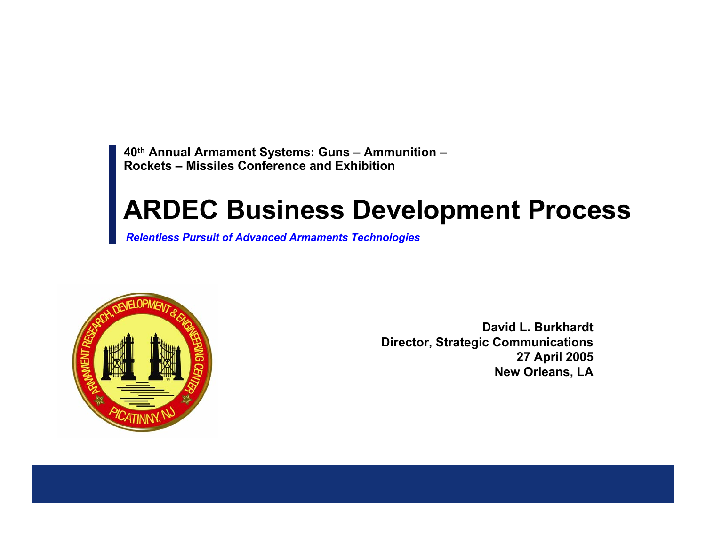**40th Annual Armament Systems: Guns – Ammunition – Rockets – Missiles Conference and Exhibition**

# **ARDEC Business Development Process**

*Relentless Pursuit of Advanced Armaments Technologies* 



**David L. BurkhardtDirector, Strategic Communications 27 April 2005 New Orleans, LA**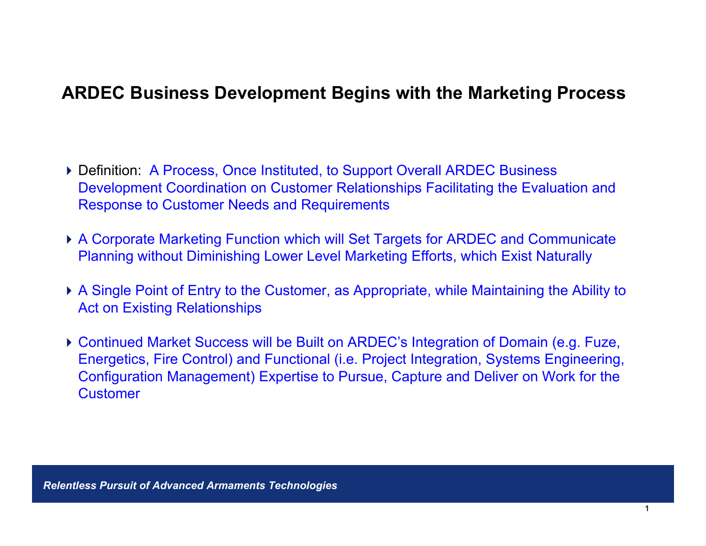# **ARDEC Business Development Begins with the Marketing Process**

- ▶ Definition: A Process, Once Instituted, to Support Overall ARDEC Business Development Coordination on Customer Relationships Facilitating the Evaluation and Response to Customer Needs and Requirements
- A Corporate Marketing Function which will Set Targets for ARDEC and Communicate Planning without Diminishing Lower Level Marketing Efforts, which Exist Naturally
- A Single Point of Entry to the Customer, as Appropriate, while Maintaining the Ability to Act on Existing Relationships
- Continued Market Success will be Built on ARDEC's Integration of Domain (e.g. Fuze, Energetics, Fire Control) and Functional (i.e. Project Integration, Systems Engineering, Configuration Management) Expertise to Pursue, Capture and Deliver on Work for the **Customer**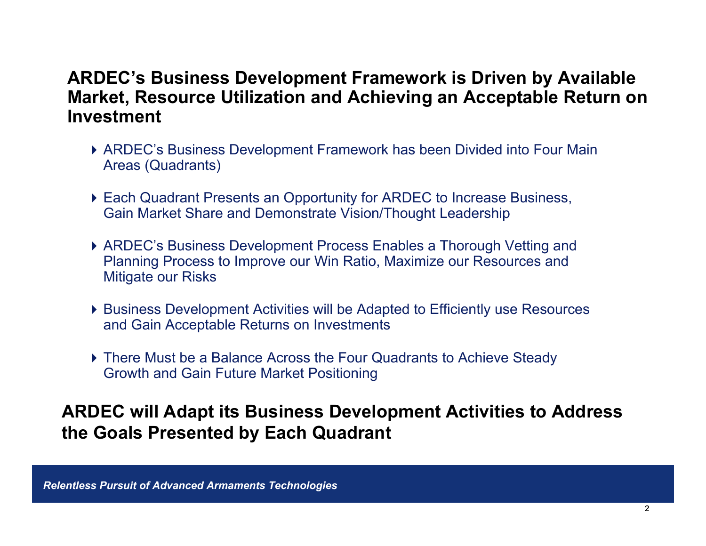# **ARDEC's Business Development Framework is Driven by Available Market, Resource Utilization and Achieving an Acceptable Return on Investment**

- ARDEC's Business Development Framework has been Divided into Four Main Areas (Quadrants)
- Each Quadrant Presents an Opportunity for ARDEC to Increase Business, Gain Market Share and Demonstrate Vision/Thought Leadership
- ▶ ARDEC's Business Development Process Enables a Thorough Vetting and Planning Process to Improve our Win Ratio, Maximize our Resources and Mitigate our Risks
- Business Development Activities will be Adapted to Efficiently use Resources and Gain Acceptable Returns on Investments
- There Must be a Balance Across the Four Quadrants to Achieve Steady Growth and Gain Future Market Positioning

# **ARDEC will Adapt its Business Development Activities to Address the Goals Presented by Each Quadrant**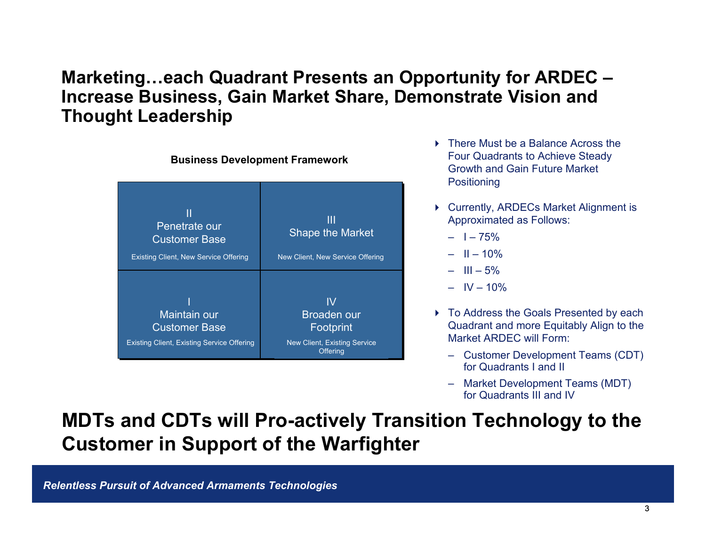# **Marketing…each Quadrant Presents an Opportunity for ARDEC – Increase Business, Gain Market Share, Demonstrate Vision and Thought Leadership**



- ▶ There Must be a Balance Across the Four Quadrants to Achieve Steady Growth and Gain Future Market **Positioning**
- ▶ Currently, ARDECs Market Alignment is Approximated as Follows:
	- I 75%
	- II 10%
	- III 5%
	- IV 10%
- ▶ To Address the Goals Presented by each Quadrant and more Equitably Align to the Market ARDEC will Form:
	- Customer Development Teams (CDT) for Quadrants I and II
	- Market Development Teams (MDT) for Quadrants III and IV

# **MDTs and CDTs will Pro-actively Transition Technology to the Customer in Support of the Warfighter**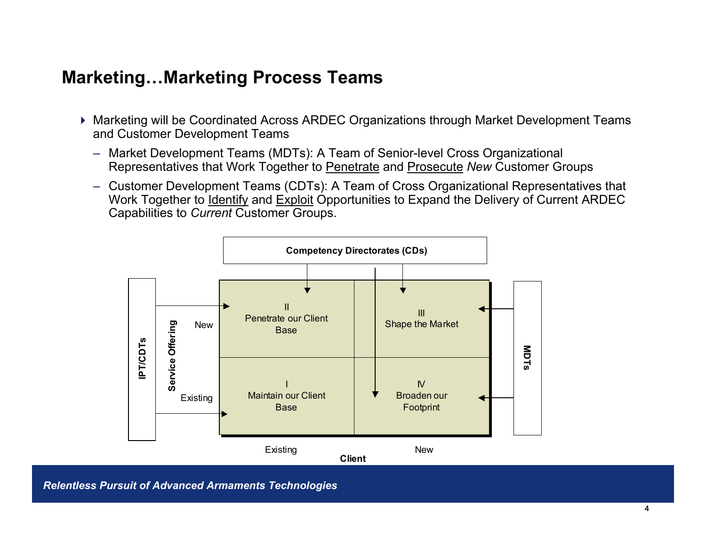# **Marketing…Marketing Process Teams**

- Marketing will be Coordinated Across ARDEC Organizations through Market Development Teams and Customer Development Teams
	- Market Development Teams (MDTs): A Team of Senior-level Cross Organizational Representatives that Work Together to Penetrate and Prosecute *New* Customer Groups
	- Customer Development Teams (CDTs): A Team of Cross Organizational Representatives that Work Together to Identify and Exploit Opportunities to Expand the Delivery of Current ARDEC Capabilities to *Current* Customer Groups.

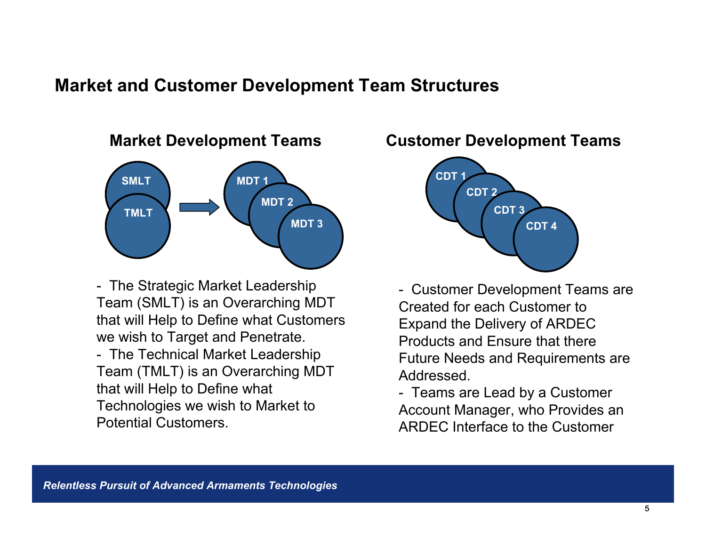# **Market and Customer Development Team Structures**



- The Strategic Market Leadership Team (SMLT) is an Overarching MDT that will Help to Define what Customers we wish to Target and Penetrate.

- The Technical Market Leadership Team (TMLT) is an Overarching MDT that will Help to Define what Technologies we wish to Market to Potential Customers.



- Customer Development Teams are Created for each Customer to Expand the Delivery of ARDEC Products and Ensure that there Future Needs and Requirements are Addressed.

- Teams are Lead by a Customer Account Manager, who Provides an ARDEC Interface to the Customer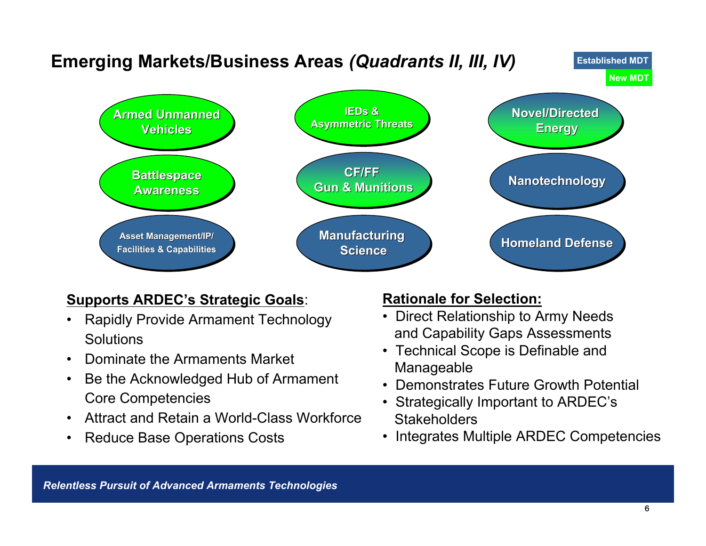# **Emerging Markets/Business Areas** *(Quadrants II, III, IV)*

**Established MDTNew MDT**



#### **Supports ARDEC's Strategic Goals**:

- • Rapidly Provide Armament Technology **Solutions**
- •Dominate the Armaments Market
- $\bullet$  Be the Acknowledged Hub of Armament Core Competencies
- •Attract and Retain a World-Class Workforce
- •Reduce Base Operations Costs

#### **Rationale for Selection:**

- Direct Relationship to Army Needs and Capability Gaps Assessments
- Technical Scope is Definable and Manageable
- Demonstrates Future Growth Potential
- Strategically Important to ARDEC's **Stakeholders**
- Integrates Multiple ARDEC Competencies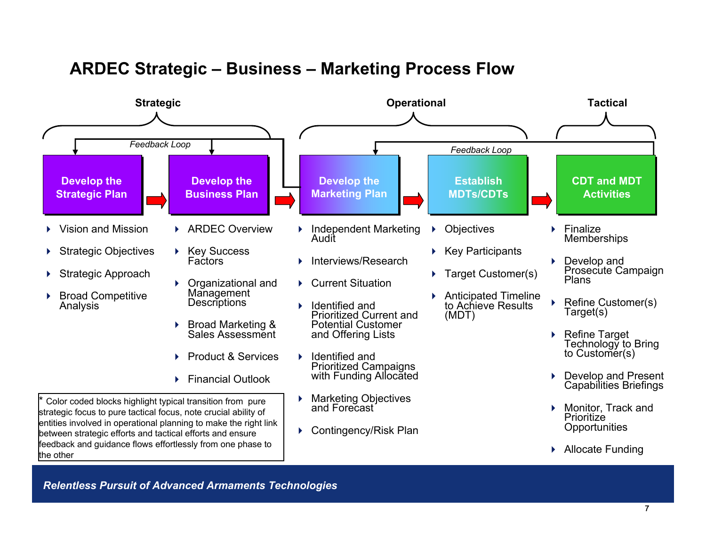# **ARDEC Strategic – Business – Marketing Process Flow**

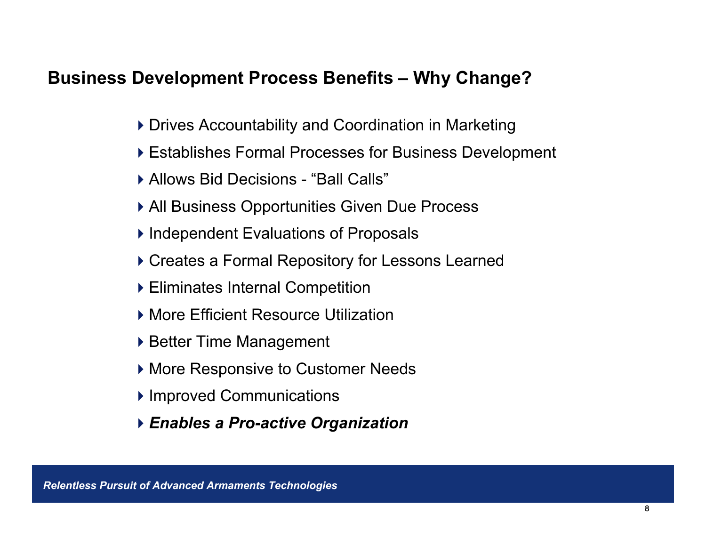# **Business Development Process Benefits – Why Change?**

- Drives Accountability and Coordination in Marketing
- Establishes Formal Processes for Business Development
- ▶ Allows Bid Decisions "Ball Calls"
- ▶ All Business Opportunities Given Due Process
- ▶ Independent Evaluations of Proposals
- ▶ Creates a Formal Repository for Lessons Learned
- Eliminates Internal Competition
- ▶ More Efficient Resource Utilization
- ▶ Better Time Management
- ▶ More Responsive to Customer Needs
- ▶ Improved Communications
- *Enables a Pro-active Organization*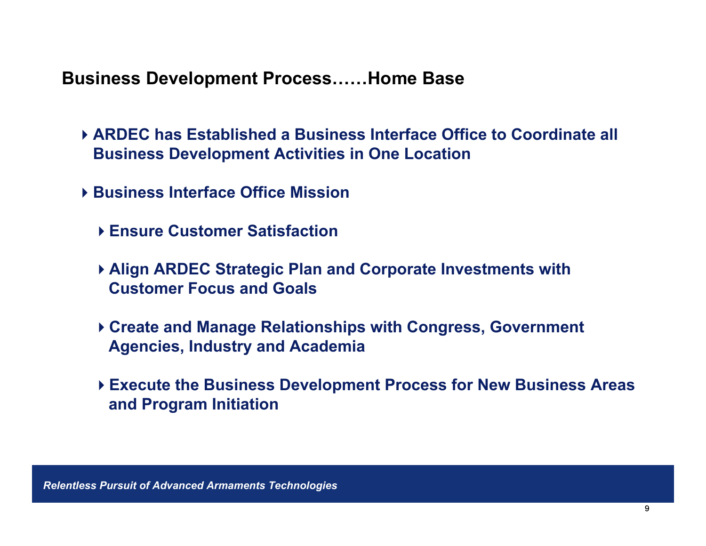## **Business Development Process……Home Base**

- **ARDEC has Established a Business Interface Office to Coordinate all Business Development Activities in One Location**
- **Business Interface Office Mission** 
	- **Ensure Customer Satisfaction**
	- **Align ARDEC Strategic Plan and Corporate Investments with Customer Focus and Goals**
	- **Create and Manage Relationships with Congress, Government Agencies, Industry and Academia**
	- **Execute the Business Development Process for New Business Areas and Program Initiation**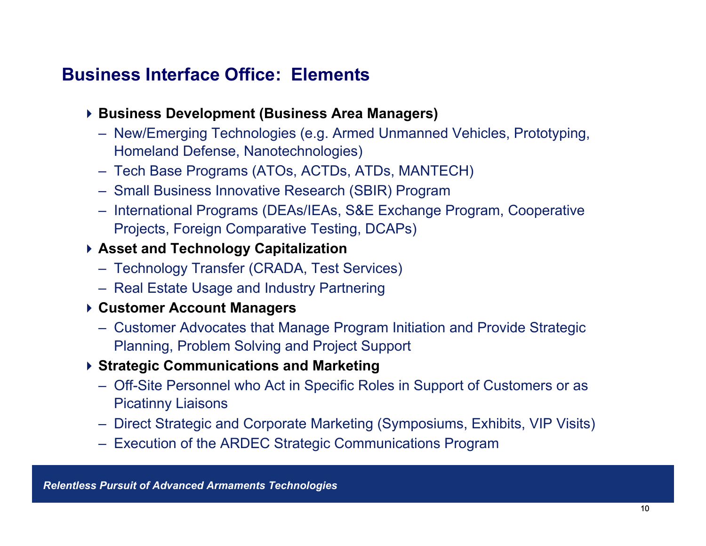# **Business Interface Office: Elements**

- **Business Development (Business Area Managers)**
	- New/Emerging Technologies (e.g. Armed Unmanned Vehicles, Prototyping, Homeland Defense, Nanotechnologies)
	- Tech Base Programs (ATOs, ACTDs, ATDs, MANTECH)
	- Small Business Innovative Research (SBIR) Program
	- International Programs (DEAs/IEAs, S&E Exchange Program, Cooperative Projects, Foreign Comparative Testing, DCAPs)
- **Asset and Technology Capitalization**
	- Technology Transfer (CRADA, Test Services)
	- Real Estate Usage and Industry Partnering
- **Customer Account Managers**
	- Customer Advocates that Manage Program Initiation and Provide Strategic Planning, Problem Solving and Project Support
- **Strategic Communications and Marketing**
	- Off-Site Personnel who Act in Specific Roles in Support of Customers or as Picatinny Liaisons
	- Direct Strategic and Corporate Marketing (Symposiums, Exhibits, VIP Visits)
	- Execution of the ARDEC Strategic Communications Program